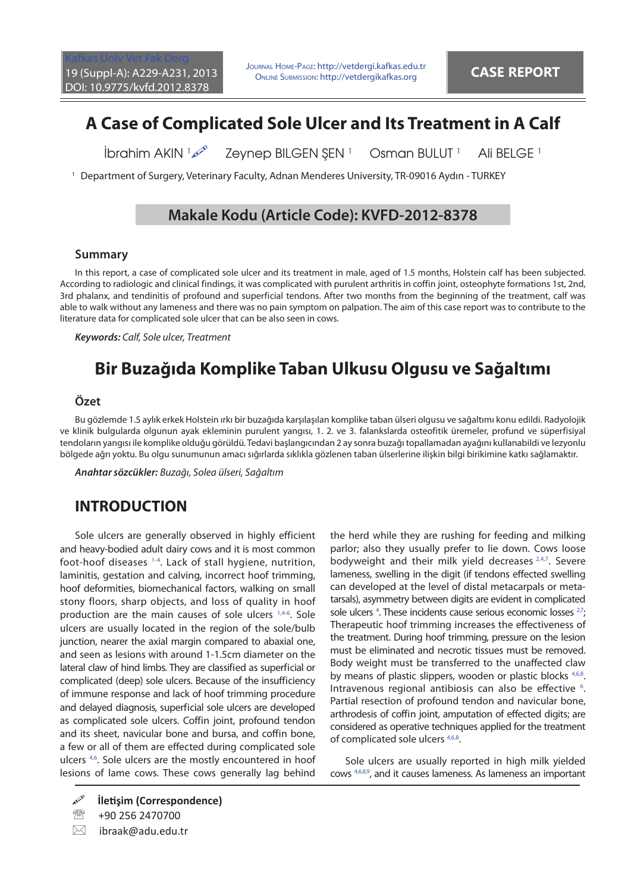# **A Case of Complicated Sole Ulcer and Its Treatment in A Calf**

İbrahim AKIN 100 Zeynep BILGEN ŞEN<sup>1</sup> Osman BULUT<sup>1</sup> Ali BELGE<sup>1</sup>

1 Department of Surgery, Veterinary Faculty, Adnan Menderes University, TR-09016 Aydın - TURKEY

### **Makale Kodu (Article Code): KVFD-2012-8378**

#### **Summary**

In this report, a case of complicated sole ulcer and its treatment in male, aged of 1.5 months, Holstein calf has been subjected. According to radiologic and clinical findings, it was complicated with purulent arthritis in coffin joint, osteophyte formations 1st, 2nd, 3rd phalanx, and tendinitis of profound and superficial tendons. After two months from the beginning of the treatment, calf was able to walk without any lameness and there was no pain symptom on palpation. The aim of this case report was to contribute to the literature data for complicated sole ulcer that can be also seen in cows.

*Keywords:* Calf, Sole ulcer, Treatment

# **Bir Buzağıda Komplike Taban Ulkusu Olgusu ve Sağaltımı**

### **Özet**

Bu gözlemde 1.5 aylık erkek Holstein ırkı bir buzağıda karşılaşılan komplike taban ülseri olgusu ve sağaltımı konu edildi. Radyolojik ve klinik bulgularda olgunun ayak ekleminin purulent yangısı, 1. 2. ve 3. falankslarda osteofitik üremeler, profund ve süperfisiyal tendoların yangısı ile komplike olduğu görüldü. Tedavi başlangıcından 2 ay sonra buzağı topallamadan ayağını kullanabildi ve lezyonlu bölgede ağrı yoktu. Bu olgu sunumunun amacı sığırlarda sıklıkla gözlenen taban ülserlerine ilişkin bilgi birikimine katkı sağlamaktır.

*Anahtar sözcükler:* Buzağı, Solea ülseri, Sağaltım

## **INTRODUCTION**

Sole ulcers are generally observed in highly efficient and heavy-bodied adult dairy cows and it is most common foot-hoof diseases [1-4](#page-2-0). Lack of stall hygiene, nutrition, laminitis, gestation and calving, incorrect hoof trimming, hoof deformities, biomechanical factors, walking on small stony floors, sharp objects, and loss of quality in hoof production are the main causes of sole ulcers [1,4-6.](#page-2-0) Sole ulcers are usually located in the region of the sole/bulb junction, nearer the axial margin compared to abaxial one, and seen as lesions with around 1-1.5cm diameter on the lateral claw of hind limbs. They are classified as superficial or complicated (deep) sole ulcers. Because of the insufficiency of immune response and lack of hoof trimming procedure and delayed diagnosis, superficial sole ulcers are developed as complicated sole ulcers. Coffin joint, profound tendon and its sheet, navicular bone and bursa, and coffin bone, a few or all of them are effected during complicated sole ulcers<sup>4,6</sup>. Sole ulcers are the mostly encountered in hoof lesions of lame cows. These cows generally lag behind

<sup>2</sup> +90 256 2470700

 $\boxtimes$  ibraak@adu.edu.tr

the herd while they are rushing for feeding and milking parlor; also they usually prefer to lie down. Cows loose bodyweight and their milk yield decreases <sup>2,4,7</sup>. Severe lameness, swelling in the digit (if tendons effected swelling can developed at the level of distal metacarpals or metatarsals), asymmetry between digits are evident in complicated sole ulcers<sup>4</sup>. These incidents cause serious economic losses<sup>27</sup>; Therapeutic hoof trimming increases the effectiveness of the treatment. During hoof trimming, pressure on the lesion must be eliminated and necrotic tissues must be removed. Body weight must be transferred to the unaffected claw by means of plastic slippers, wooden or plastic blocks [4,6,8.](#page-2-0) Intravenous regional antibiosis can also be effective <sup>6</sup>. Partial resection of profound tendon and navicular bone, arthrodesis of coffin joint, amputation of effected digits; are considered as operative techniques applied for the treatment of complicated sole ulcers <sup>4,6,8</sup>.

Sole ulcers are usually reported in high milk yielded cow[s 4,6,8,9,](#page-2-0) and it causes lameness. As lameness an important

**İletişim (Correspondence)**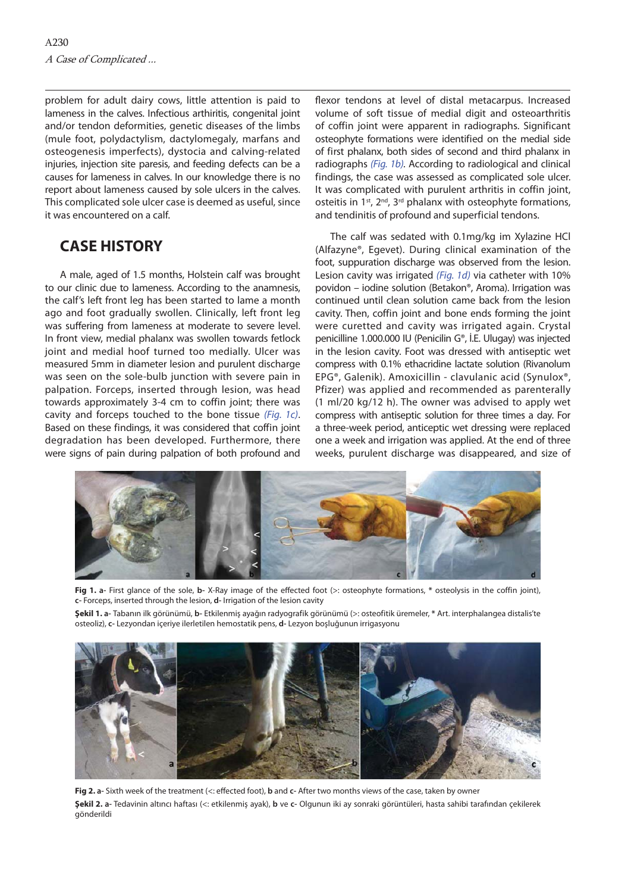<span id="page-1-0"></span>problem for adult dairy cows, little attention is paid to lameness in the calves. Infectious arthiritis, congenital joint and/or tendon deformities, genetic diseases of the limbs (mule foot, polydactylism, dactylomegaly, marfans and osteogenesis imperfects), dystocia and calving-related injuries, injection site paresis, and feeding defects can be a causes for lameness in calves. In our knowledge there is no report about lameness caused by sole ulcers in the calves. This complicated sole ulcer case is deemed as useful, since it was encountered on a calf.

## **CASE HISTORY**

A male, aged of 1.5 months, Holstein calf was brought to our clinic due to lameness. According to the anamnesis, the calf's left front leg has been started to lame a month ago and foot gradually swollen. Clinically, left front leg was suffering from lameness at moderate to severe level. In front view, medial phalanx was swollen towards fetlock joint and medial hoof turned too medially. Ulcer was measured 5mm in diameter lesion and purulent discharge was seen on the sole-bulb junction with severe pain in palpation. Forceps, inserted through lesion, was head towards approximately 3-4 cm to coffin joint; there was cavity and forceps touched to the bone tissue (Fig. 1c). Based on these findings, it was considered that coffin joint degradation has been developed. Furthermore, there were signs of pain during palpation of both profound and

flexor tendons at level of distal metacarpus. Increased volume of soft tissue of medial digit and osteoarthritis of coffin joint were apparent in radiographs. Significant osteophyte formations were identified on the medial side of first phalanx, both sides of second and third phalanx in radiographs (Fig. 1b). According to radiological and clinical findings, the case was assessed as complicated sole ulcer. It was complicated with purulent arthritis in coffin joint, osteitis in 1<sup>st</sup>, 2<sup>nd</sup>, 3<sup>rd</sup> phalanx with osteophyte formations, and tendinitis of profound and superficial tendons.

The calf was sedated with 0.1mg/kg im Xylazine HCl (Alfazyne®, Egevet). During clinical examination of the foot, suppuration discharge was observed from the lesion. Lesion cavity was irrigated (Fig. 1d) via catheter with 10% povidon – iodine solution (Betakon®, Aroma). Irrigation was continued until clean solution came back from the lesion cavity. Then, coffin joint and bone ends forming the joint were curetted and cavity was irrigated again. Crystal penicilline 1.000.000 IU (Penicilin G®, İ.E. Ulugay) was injected in the lesion cavity. Foot was dressed with antiseptic wet compress with 0.1% ethacridine lactate solution (Rivanolum EPG®, Galenik). Amoxicillin - clavulanic acid (Synulox®, Pfizer) was applied and recommended as parenterally (1 ml/20 kg/12 h). The owner was advised to apply wet compress with antiseptic solution for three times a day. For a three-week period, anticeptic wet dressing were replaced one a week and irrigation was applied. At the end of three weeks, purulent discharge was disappeared, and size of



Fig 1. a- First glance of the sole, b- X-Ray image of the effected foot (>: osteophyte formations, \* osteolysis in the coffin joint), **c-** Forceps, inserted through the lesion, **d-** Irrigation of the lesion cavity

**Şekil 1. a-** Tabanın ilk görünümü, **b-** Etkilenmiş ayağın radyografik görünümü (>: osteofitik üremeler, **\*** Art. interphalangea distalis'te osteoliz), **c-** Lezyondan içeriye ilerletilen hemostatik pens, **d-** Lezyon boşluğunun irrigasyonu



Fig 2. a- Sixth week of the treatment (<: effected foot), **b** and c- After two months views of the case, taken by owner **Şekil 2. a-** Tedavinin altıncı haftası (<: etkilenmiş ayak), **b** ve **c-** Olgunun iki ay sonraki görüntüleri, hasta sahibi tarafından çekilerek gönderildi